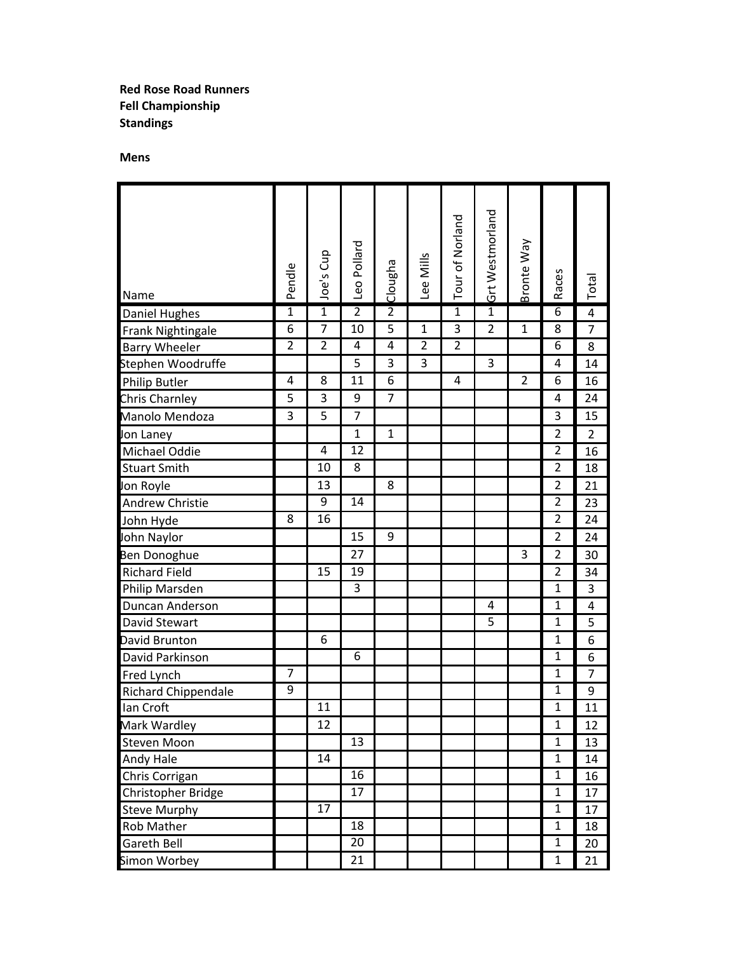## **Red Rose Road Runners Fell Championship Standings**

## **Mens**

|                                           |                | Joe's Cup      | Leo Pollard    |                | Lee Mills      | Tour of Norland | Grt Westmorland | Bronte Way     |                |                         |
|-------------------------------------------|----------------|----------------|----------------|----------------|----------------|-----------------|-----------------|----------------|----------------|-------------------------|
| Name                                      | Pendle         |                |                | Clougha        |                |                 |                 |                | Races          | Total                   |
|                                           | $\overline{1}$ | $\mathbf{1}$   | $\overline{2}$ | $\overline{2}$ |                | $\mathbf{1}$    | $\mathbf{1}$    |                | 6              | $\overline{\mathbf{4}}$ |
| <b>Daniel Hughes</b>                      | $\overline{6}$ | $\overline{7}$ | 10             | 5              | $\mathbf{1}$   | $\overline{3}$  | $\overline{2}$  | $\overline{1}$ | 8              | $\overline{7}$          |
| Frank Nightingale<br><b>Barry Wheeler</b> | $\overline{2}$ | $\overline{2}$ | 4              | 4              | $\overline{2}$ | $\overline{2}$  |                 |                | 6              | 8                       |
| Stephen Woodruffe                         |                |                | 5              | 3              | 3              |                 | 3               |                | 4              | 14                      |
| <b>Philip Butler</b>                      | 4              | 8              | 11             | $\overline{6}$ |                | 4               |                 | $\overline{2}$ | 6              | 16                      |
| Chris Charnley                            | 5              | 3              | 9              | $\overline{7}$ |                |                 |                 |                | 4              | 24                      |
| Manolo Mendoza                            | 3              | 5              | $\overline{7}$ |                |                |                 |                 |                | 3              | 15                      |
|                                           |                |                | $\mathbf{1}$   | $\mathbf{1}$   |                |                 |                 |                | $\overline{2}$ |                         |
| Jon Laney<br>Michael Oddie                |                | $\overline{4}$ | 12             |                |                |                 |                 |                | $\overline{2}$ | $\overline{2}$<br>16    |
| <b>Stuart Smith</b>                       |                | 10             | 8              |                |                |                 |                 |                | $\overline{2}$ | 18                      |
|                                           |                | 13             |                | 8              |                |                 |                 |                | $\overline{2}$ | 21                      |
| Jon Royle<br><b>Andrew Christie</b>       |                | 9              | 14             |                |                |                 |                 |                | $\overline{2}$ | 23                      |
| John Hyde                                 | 8              | 16             |                |                |                |                 |                 |                | $\overline{2}$ | 24                      |
| John Naylor                               |                |                | 15             | 9              |                |                 |                 |                | $\overline{2}$ | 24                      |
| <b>Ben Donoghue</b>                       |                |                | 27             |                |                |                 |                 | 3              | $\overline{2}$ | 30                      |
| <b>Richard Field</b>                      |                | 15             | 19             |                |                |                 |                 |                | $\overline{2}$ | 34                      |
| Philip Marsden                            |                |                | 3              |                |                |                 |                 |                | $\mathbf{1}$   | 3                       |
| Duncan Anderson                           |                |                |                |                |                |                 | 4               |                | $\mathbf{1}$   | 4                       |
| David Stewart                             |                |                |                |                |                |                 | 5               |                | $\mathbf{1}$   | 5                       |
| David Brunton                             |                | 6              |                |                |                |                 |                 |                | 1              | 6                       |
| David Parkinson                           |                |                | 6              |                |                |                 |                 |                | $\mathbf{1}$   | 6                       |
| Fred Lynch                                | $\overline{7}$ |                |                |                |                |                 |                 |                | $\mathbf{1}$   | $\overline{7}$          |
| <b>Richard Chippendale</b>                | 9              |                |                |                |                |                 |                 |                | 1              | 9                       |
| Ian Croft                                 |                | 11             |                |                |                |                 |                 |                | $\mathbf{1}$   | 11                      |
| Mark Wardley                              |                | 12             |                |                |                |                 |                 |                | 1              | 12                      |
| Steven Moon                               |                |                | 13             |                |                |                 |                 |                | $\mathbf{1}$   | 13                      |
| Andy Hale                                 |                | 14             |                |                |                |                 |                 |                | $\mathbf{1}$   | 14                      |
| Chris Corrigan                            |                |                | 16             |                |                |                 |                 |                | $\mathbf{1}$   | 16                      |
| Christopher Bridge                        |                |                | 17             |                |                |                 |                 |                | $\mathbf{1}$   | 17                      |
| <b>Steve Murphy</b>                       |                | 17             |                |                |                |                 |                 |                | $\mathbf{1}$   | 17                      |
| <b>Rob Mather</b>                         |                |                | 18             |                |                |                 |                 |                | 1              | 18                      |
| Gareth Bell                               |                |                | 20             |                |                |                 |                 |                | 1              | 20                      |
| Simon Worbey                              |                |                | 21             |                |                |                 |                 |                | $\mathbf{1}$   | 21                      |